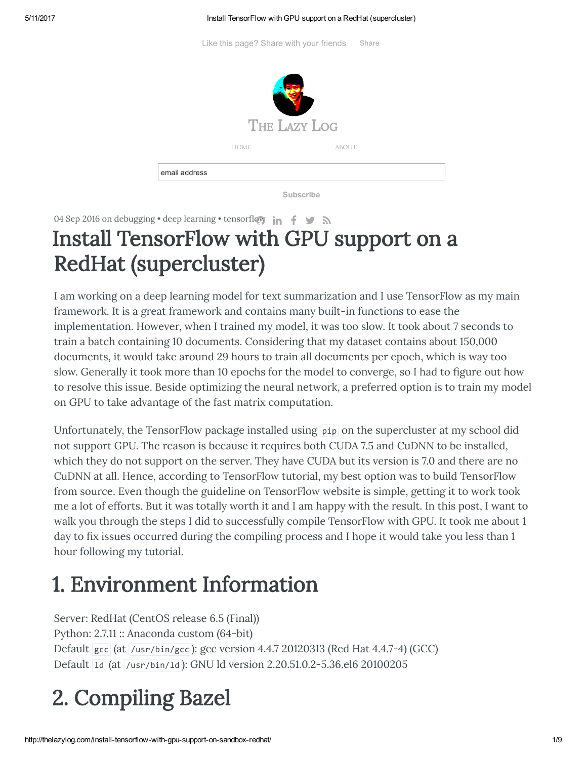#### 5/11/2017 Install TensorFlow with GPU support on a RedHat (supercluster)

Like this page? Share with your friends Share



Subscribe

04 Sep 2016 on [debugging](http://thelazylog.com/tag/debugging/) • deep [learning](http://thelazylog.com/tag/deep-learning/) • [tensor](http://thelazylog.com/tag/tensorflow/)fl[ow](https://github.com/xuanchiehn)  $\ln f \rightarrow \infty$ 

## Install TensorFlow with GPU support on a RedHat (supercluster)

I am working on a deep learning model for text summarization and I use TensorFlow as my main framework. It is a great framework and contains many built-in functions to ease the implementation. However, when I trained my model, it was too slow. It took about 7 seconds to train a batch containing 10 documents. Considering that my dataset contains about 150,000 documents, it would take around 29 hours to train all documents per epoch, which is way too slow. Generally it took more than 10 epochs for the model to converge, so I had to figure out how to resolve this issue. Beside optimizing the neural network, a preferred option is to train my model on GPU to take advantage of the fast matrix computation.

Unfortunately, the TensorFlow package installed using pip on the supercluster at my school did not support GPU. The reason is because it requires both CUDA 7.5 and CuDNN to be installed, which they do not support on the server. They have CUDA but its version is 7.0 and there are no CuDNN at all. Hence, according to TensorFlow tutorial, my best option was to build TensorFlow from source. Even though the guideline on TensorFlow website is simple, getting it to work took me a lot of efforts. But it was totally worth it and I am happy with the result. In this post, I want to walk you through the steps I did to successfully compile TensorFlow with GPU. It took me about 1 day to fix issues occurred during the compiling process and I hope it would take you less than 1 hour following my tutorial.

## 1. Environment Information

Server: RedHat (CentOS release 6.5 (Final)) Python: 2.7.11 :: Anaconda custom (64-bit) Default gcc (at /usr/bin/gcc ): gcc version 4.4.7 20120313 (Red Hat 4.4.7-4) (GCC) Default ld (at /usr/bin/ld ): GNU ld version 2.20.51.0.2-5.36.el6 20100205

# 2. Compiling Bazel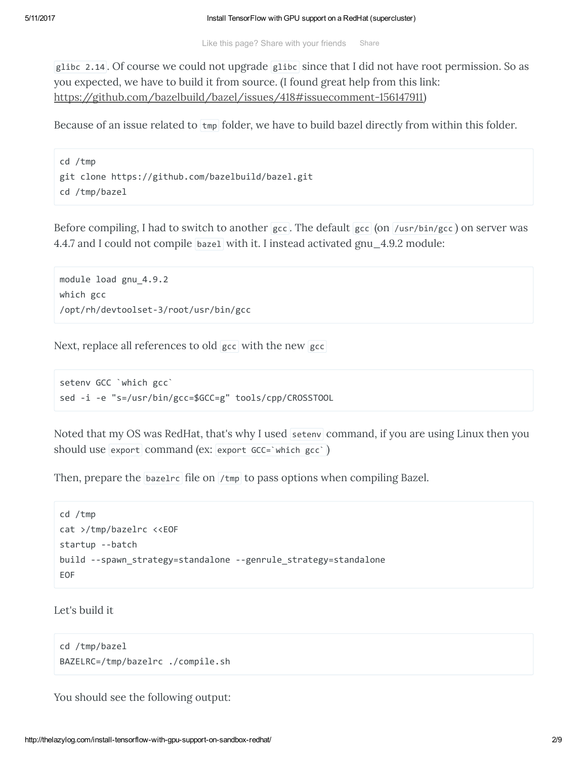glibc 2.14 . Of course we could not upgrade glibc since that I did not have root permission. So as you expected, we have to build it from source. (I found great help from this link: [https://github.com/bazelbuild/bazel/issues/418#issuecomment-156147911\)](https://github.com/bazelbuild/bazel/issues/418#issuecomment-156147911)

Because of an issue related to  $\frac{1}{2}$  folder, we have to build bazel directly from within this folder.

```
cd /tmp
git clone https://github.com/bazelbuild/bazel.git
cd /tmp/bazel
```
Before compiling, I had to switch to another  $\frac{1}{\epsilon}$  gcc. The default  $\frac{1}{\epsilon}$  (on /usr/bin/gcc) on server was 4.4.7 and I could not compile bazel with it. I instead activated gnu\_4.9.2 module:

```
module load gnu_4.9.2
which gcc
/opt/rh/devtoolset‐3/root/usr/bin/gcc
```
Next, replace all references to old gcc with the new gcc

```
setenv GCC `which gcc`
sed ‐i ‐e "s=/usr/bin/gcc=$GCC=g" tools/cpp/CROSSTOOL
```
Noted that my OS was RedHat, that's why I used setenv command, if you are using Linux then you should use export command (ex: export GCC=`which gcc` )

Then, prepare the  $\beta$  bazelrc file on /tmp to pass options when compiling Bazel.

```
cd /tmp
cat >/tmp/bazelrc <<EOF
startup ‐‐batch
build ‐‐spawn_strategy=standalone ‐‐genrule_strategy=standalone
EOF
```
Let's build it

```
cd /tmp/bazel
BAZELRC=/tmp/bazelrc ./compile.sh
```
You should see the following output: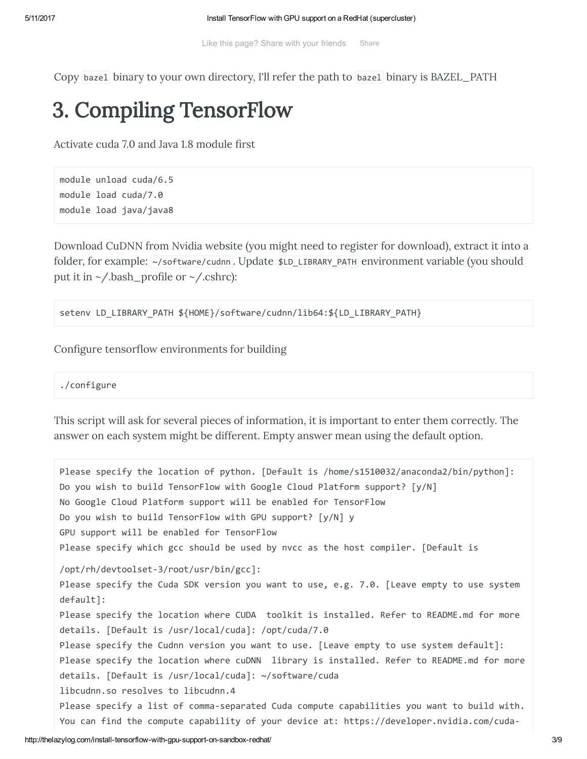Copy bazel binary to your own directory, I'll refer the path to bazel binary is BAZEL\_PATH

### 3. Compiling TensorFlow

Activate cuda 7.0 and Java 1.8 module first

```
module unload cuda/6.5
module load cuda/7.0
module load java/java8
```
Download CuDNN from Nvidia website (you might need to register for download), extract it into a folder, for example: ~/software/cudnn . Update \$LD\_LIBRARY\_PATH environment variable (you should put it in  $\sim$ /.bash\_profile or  $\sim$ /.cshrc):

setenv LD\_LIBRARY\_PATH \${HOME}/software/cudnn/lib64:\${LD\_LIBRARY\_PATH}

Configure tensorflow environments for building

./configure

This script will ask for several pieces of information, it is important to enter them correctly. The answer on each system might be different. Empty answer mean using the default option.

Please specify the location of python. [Default is /home/s1510032/anaconda2/bin/python]: Do you wish to build TensorFlow with Google Cloud Platform support? [y/N] No Google Cloud Platform support will be enabled for TensorFlow Do you wish to build TensorFlow with GPU support? [y/N] y GPU support will be enabled for TensorFlow Please specify which gcc should be used by nvcc as the host compiler. [Default is /opt/rh/devtoolset‐3/root/usr/bin/gcc]: Please specify the Cuda SDK version you want to use, e.g. 7.0. [Leave empty to use system default]: Please specify the location where CUDA toolkit is installed. Refer to README.md for more details. [Default is /usr/local/cuda]: /opt/cuda/7.0 Please specify the Cudnn version you want to use. [Leave empty to use system default]: Please specify the location where cuDNN library is installed. Refer to README.md for more details. [Default is /usr/local/cuda]: ~/software/cuda libcudnn.so resolves to libcudnn.4 Please specify a list of comma‐separated Cuda compute capabilities you want to build with. You can find the compute capability of your device at: https://developer.nvidia.com/cuda‐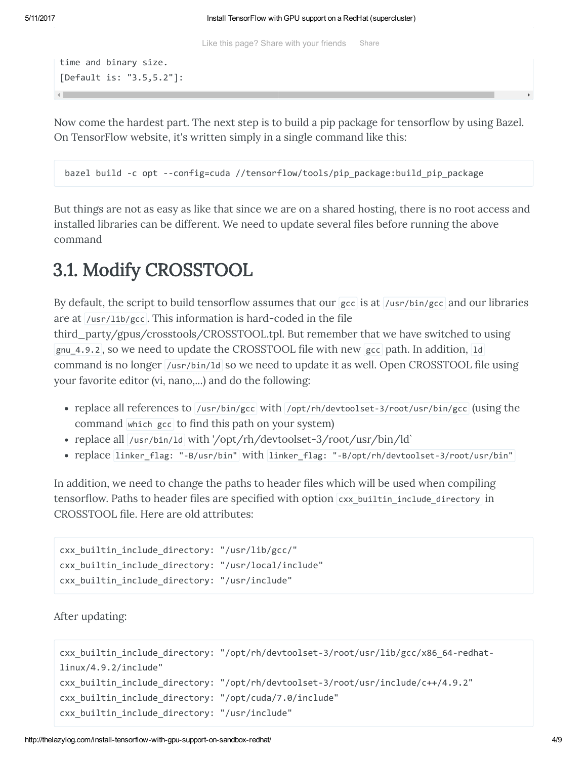Like this page? Share with your friends Share

```
time and binary size.
[Default is: "3.5,5.2"]:
```
Now come the hardest part. The next step is to build a pip package for tensorflow by using Bazel. On TensorFlow website, it's written simply in a single command like this:

bazel build ‐c opt ‐‐config=cuda //tensorflow/tools/pip\_package:build\_pip\_package

But things are not as easy as like that since we are on a shared hosting, there is no root access and installed libraries can be different. We need to update several files before running the above command

### 3.1. Modify CROSSTOOL

By default, the script to build tensorflow assumes that our  $\vert$  gcc is at  $\vert$ /usr/bin/gcc and our libraries are at  $/$ usr $/$ lib $/$ gcc. This information is hard-coded in the file third\_party/gpus/crosstools/CROSSTOOL.tpl. But remember that we have switched to using gnu<sub>\_4.9.2</sub>, so we need to update the CROSSTOOL file with new gcc path. In addition, 1d command is no longer /usr/bin/1d so we need to update it as well. Open CROSSTOOL file using your favorite editor (vi, nano,...) and do the following:

- replace all references to /usr/bin/gcc with /opt/rh/devtoolset-3/root/usr/bin/gcc (using the command which gcc to find this path on your system)
- replace all /usr/bin/1d with '/opt/rh/devtoolset-3/root/usr/bin/ld`
- replace linker flag: "-B/usr/bin" with linker flag: "-B/opt/rh/devtoolset-3/root/usr/bin"

In addition, we need to change the paths to header files which will be used when compiling tensorflow. Paths to header files are specified with option cxx\_builtin\_include\_directory in CROSSTOOL file. Here are old attributes:

```
cxx builtin include directory: "/usr/lib/gcc/"
cxx builtin include directory: "/usr/local/include"
cxx_builtin_include_directory: "/usr/include"
```
After updating:

```
cxx builtin include directory: "/opt/rh/devtoolset-3/root/usr/lib/gcc/x86 64-redhat-
linux/4.9.2/include"
cxx_builtin_include_directory: "/opt/rh/devtoolset‐3/root/usr/include/c++/4.9.2"
cxx_builtin_include_directory: "/opt/cuda/7.0/include"
cxx_builtin_include_directory: "/usr/include"
```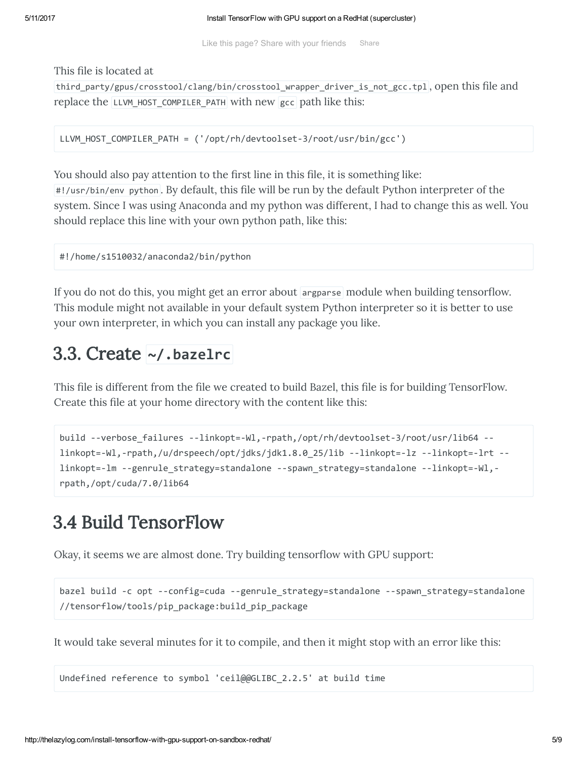Like this page? Share with your friends Share

This file is located at

third\_party/gpus/crosstool/clang/bin/crosstool\_wrapper\_driver\_is\_not\_gcc.tpl, open this file and replace the LLVM\_HOST\_COMPILER\_PATH with new gcc path like this:

LLVM\_HOST\_COMPILER\_PATH = ('/opt/rh/devtoolset-3/root/usr/bin/gcc')

You should also pay attention to the first line in this file, it is something like: #!/usr/bin/env python. By default, this file will be run by the default Python interpreter of the system. Since I was using Anaconda and my python was different, I had to change this as well. You should replace this line with your own python path, like this:

```
#!/home/s1510032/anaconda2/bin/python
```
If you do not do this, you might get an error about argparse module when building tensorflow. This module might not available in your default system Python interpreter so it is better to use your own interpreter, in which you can install any package you like.

### 3.3. Create ~/.bazelrc

This file is different from the file we created to build Bazel, this file is for building TensorFlow. Create this file at your home directory with the content like this:

```
build ‐‐verbose_failures ‐‐linkopt=‐Wl,‐rpath,/opt/rh/devtoolset‐3/root/usr/lib64 ‐‐
linkopt=‐Wl,‐rpath,/u/drspeech/opt/jdks/jdk1.8.0_25/lib ‐‐linkopt=‐lz ‐‐linkopt=‐lrt ‐‐
linkopt=‐lm ‐‐genrule_strategy=standalone ‐‐spawn_strategy=standalone ‐‐linkopt=‐Wl,‐
rpath,/opt/cuda/7.0/lib64
```
### 3.4 Build TensorFlow

Okay, it seems we are almost done. Try building tensorflow with GPU support:

```
bazel build -c opt --config=cuda --genrule strategy=standalone --spawn strategy=standalone
//tensorflow/tools/pip_package:build_pip_package
```
It would take several minutes for it to compile, and then it might stop with an error like this:

```
Undefined reference to symbol 'ceil@@GLIBC_2.2.5' at build time
```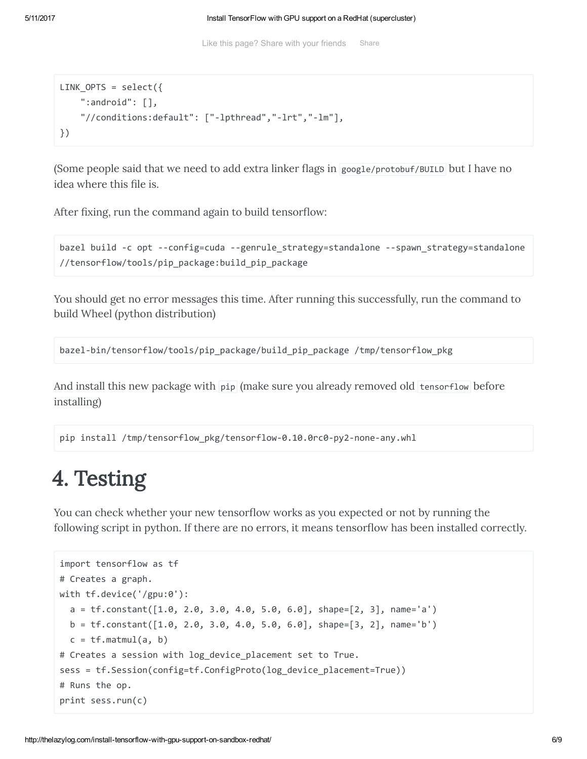```
LINK_OPTS = select({
    ":android": [],
    "//conditions:default": ["‐lpthread","‐lrt","‐lm"],
})
```
(Some people said that we need to add extra linker flags in google/protobuf/BUILD but I have no idea where this file is.

After fixing, run the command again to build tensorflow:

```
bazel build ‐c opt ‐‐config=cuda ‐‐genrule_strategy=standalone ‐‐spawn_strategy=standalone
//tensorflow/tools/pip_package:build_pip_package
```
You should get no error messages this time. After running this successfully, run the command to build Wheel (python distribution)

```
bazel‐bin/tensorflow/tools/pip_package/build_pip_package /tmp/tensorflow_pkg
```
And install this new package with pip (make sure you already removed old tensorflow before installing)

pip install /tmp/tensorflow\_pkg/tensorflow-0.10.0rc0-py2-none-any.whl

## 4. Testing

You can check whether your new tensorflow works as you expected or not by running the following script in python. If there are no errors, it means tensorflow has been installed correctly.

```
import tensorflow as tf
# Creates a graph.
with tf.device('/gpu:0'):
  a = tf constant([1.0, 2.0, 3.0, 4.0, 5.0, 6.0], shape=[2, 3], name='a')b = tf constant([1.0, 2.0, 3.0, 4.0, 5.0, 6.0], shape=[3, 2], name='b')c = tf.matmul(a, b)# Creates a session with log device placement set to True.
sess = tf.Session(config=tf.ConfigProto(log device placement=True))
# Runs the op.
print sess.run(c)
```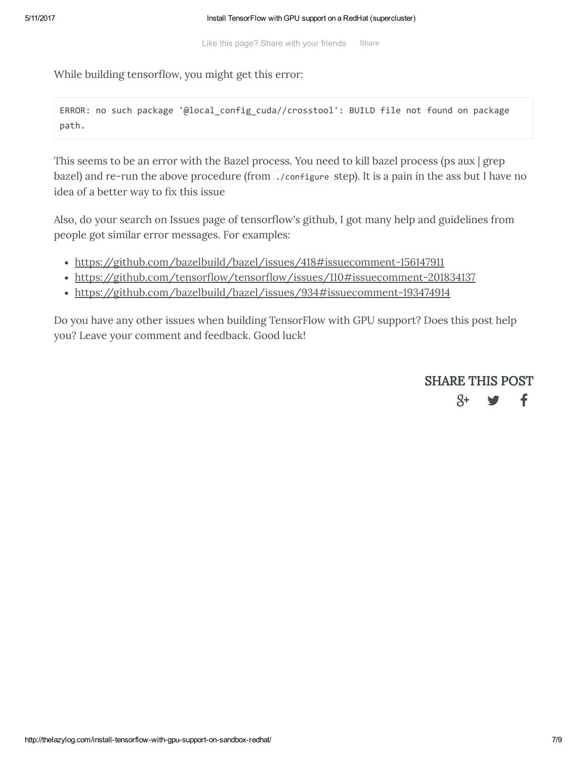While building tensorflow, you might get this error:

ERROR: no such package '@local\_config\_cuda//crosstool': BUILD file not found on package path.

This seems to be an error with the Bazel process. You need to kill bazel process (ps aux | grep bazel) and re-run the above procedure (from ./configure step). It is a pain in the ass but I have no idea of a better way to fix this issue

Also, do your search on Issues page of tensorflow's github, I got many help and guidelines from people got similar error messages. For examples:

- <https://github.com/bazelbuild/bazel/issues/418#issuecomment-156147911>
- https://github.com/tensorflow/tensorflow/issues/110#issuecomment-201834137
- <https://github.com/bazelbuild/bazel/issues/934#issuecomment-193474914>

Do you have any other issues when building TensorFlow with GPU support? Does this post help you? Leave your comment and feedback. Good luck!